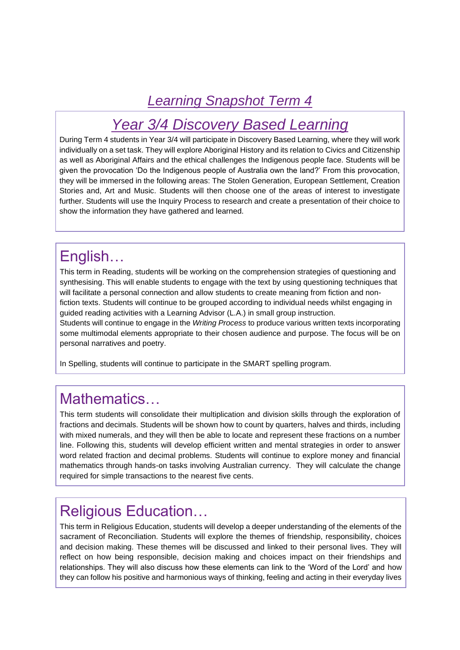#### *Learning Snapshot Term 4*

# *Year 3/4 Discovery Based Learning*

During Term 4 students in Year 3/4 will participate in Discovery Based Learning, where they will work individually on a set task. They will explore Aboriginal History and its relation to Civics and Citizenship as well as Aboriginal Affairs and the ethical challenges the Indigenous people face. Students will be given the provocation 'Do the Indigenous people of Australia own the land?' From this provocation, they will be immersed in the following areas: The Stolen Generation, European Settlement, Creation Stories and, Art and Music. Students will then choose one of the areas of interest to investigate further. Students will use the Inquiry Process to research and create a presentation of their choice to show the information they have gathered and learned.

#### English…

This term in Reading, students will be working on the comprehension strategies of questioning and synthesising. This will enable students to engage with the text by using questioning techniques that will facilitate a personal connection and allow students to create meaning from fiction and nonfiction texts. Students will continue to be grouped according to individual needs whilst engaging in guided reading activities with a Learning Advisor (L.A.) in small group instruction.

Students will continue to engage in the *Writing Process* to produce various written texts incorporating some multimodal elements appropriate to their chosen audience and purpose. The focus will be on personal narratives and poetry.

In Spelling, students will continue to participate in the SMART spelling program.

#### Mathematics…

This term students will consolidate their multiplication and division skills through the exploration of fractions and decimals. Students will be shown how to count by quarters, halves and thirds, including with mixed numerals, and they will then be able to locate and represent these fractions on a number line. Following this, students will develop efficient written and mental strategies in order to answer word related fraction and decimal problems. Students will continue to explore money and financial mathematics through hands-on tasks involving Australian currency. They will calculate the change required for simple transactions to the nearest five cents.

#### Religious Education…

This term in Religious Education, students will develop a deeper understanding of the elements of the sacrament of Reconciliation. Students will explore the themes of friendship, responsibility, choices and decision making. These themes will be discussed and linked to their personal lives. They will reflect on how being responsible, decision making and choices impact on their friendships and relationships. They will also discuss how these elements can link to the 'Word of the Lord' and how they can follow his positive and harmonious ways of thinking, feeling and acting in their everyday lives